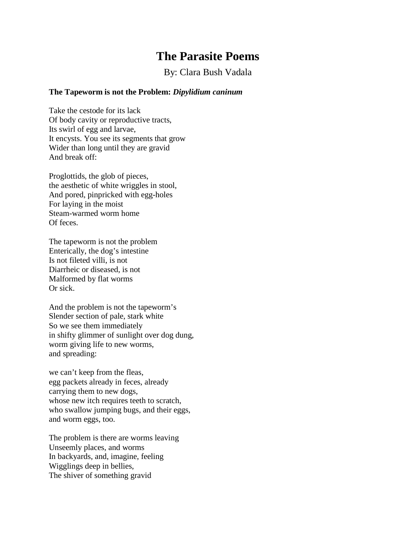# **The Parasite Poems**

By: Clara Bush Vadala

# **The Tapeworm is not the Problem:** *Dipylidium caninum*

Take the cestode for its lack Of body cavity or reproductive tracts, Its swirl of egg and larvae, It encysts. You see its segments that grow Wider than long until they are gravid And break off:

Proglottids, the glob of pieces, the aesthetic of white wriggles in stool, And pored, pinpricked with egg-holes For laying in the moist Steam-warmed worm home Of feces.

The tapeworm is not the problem Enterically, the dog's intestine Is not fileted villi, is not Diarrheic or diseased, is not Malformed by flat worms Or sick.

And the problem is not the tapeworm's Slender section of pale, stark white So we see them immediately in shifty glimmer of sunlight over dog dung, worm giving life to new worms, and spreading:

we can't keep from the fleas, egg packets already in feces, already carrying them to new dogs, whose new itch requires teeth to scratch, who swallow jumping bugs, and their eggs, and worm eggs, too.

The problem is there are worms leaving Unseemly places, and worms In backyards, and, imagine, feeling Wigglings deep in bellies, The shiver of something gravid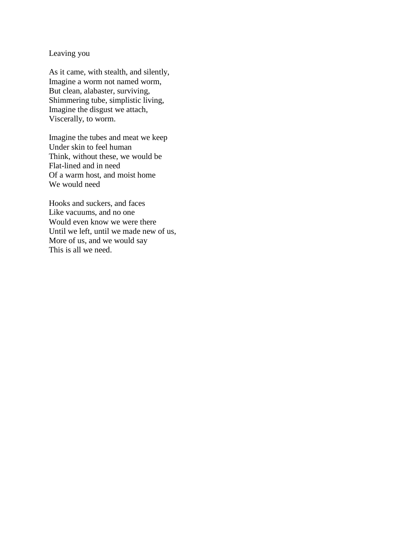## Leaving you

As it came, with stealth, and silently, Imagine a worm not named worm, But clean, alabaster, surviving, Shimmering tube, simplistic living, Imagine the disgust we attach, Viscerally, to worm.

Imagine the tubes and meat we keep Under skin to feel human Think, without these, we would be Flat-lined and in need Of a warm host, and moist home We would need

Hooks and suckers, and faces Like vacuums, and no one Would even know we were there Until we left, until we made new of us, More of us, and we would say This is all we need.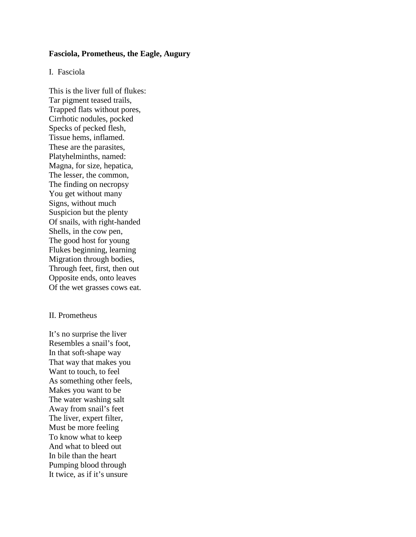#### **Fasciola, Prometheus, the Eagle, Augury**

## I. Fasciola

This is the liver full of flukes: Tar pigment teased trails, Trapped flats without pores, Cirrhotic nodules, pocked Specks of pecked flesh, Tissue hems, inflamed. These are the parasites, Platyhelminths, named: Magna, for size, hepatica, The lesser, the common, The finding on necropsy You get without many Signs, without much Suspicion but the plenty Of snails, with right-handed Shells, in the cow pen, The good host for young Flukes beginning, learning Migration through bodies, Through feet, first, then out Opposite ends, onto leaves Of the wet grasses cows eat.

#### II. Prometheus

It's no surprise the liver Resembles a snail's foot, In that soft-shape way That way that makes you Want to touch, to feel As something other feels, Makes you want to be The water washing salt Away from snail's feet The liver, expert filter, Must be more feeling To know what to keep And what to bleed out In bile than the heart Pumping blood through It twice, as if it's unsure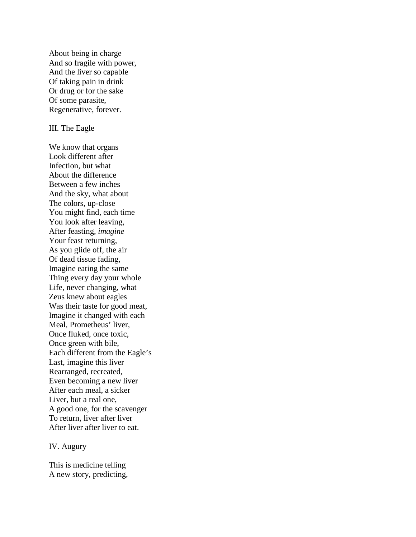About being in charge And so fragile with power, And the liver so capable Of taking pain in drink Or drug or for the sake Of some parasite, Regenerative, forever.

#### III. The Eagle

We know that organs Look different after Infection, but what About the difference Between a few inches And the sky, what about The colors, up-close You might find, each time You look after leaving, After feasting, *imagine* Your feast returning, As you glide off, the air Of dead tissue fading, Imagine eating the same Thing every day your whole Life, never changing, what Zeus knew about eagles Was their taste for good meat, Imagine it changed with each Meal, Prometheus' liver, Once fluked, once toxic, Once green with bile, Each different from the Eagle's Last, imagine this liver Rearranged, recreated, Even becoming a new liver After each meal, a sicker Liver, but a real one, A good one, for the scavenger To return, liver after liver After liver after liver to eat.

#### IV. Augury

This is medicine telling A new story, predicting,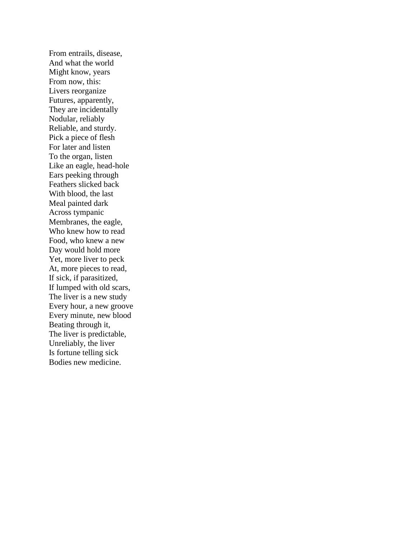From entrails, disease, And what the world Might know, years From now, this: Livers reorganize Futures, apparently, They are incidentally Nodular, reliably Reliable, and sturdy. Pick a piece of flesh For later and listen To the organ, listen Like an eagle, head-hole Ears peeking through Feathers slicked back With blood, the last Meal painted dark Across tympanic Membranes, the eagle, Who knew how to read Food, who knew a new Day would hold more Yet, more liver to peck At, more pieces to read, If sick, if parasitized, If lumped with old scars, The liver is a new study Every hour, a new groove Every minute, new blood Beating through it, The liver is predictable, Unreliably, the liver Is fortune telling sick Bodies new medicine.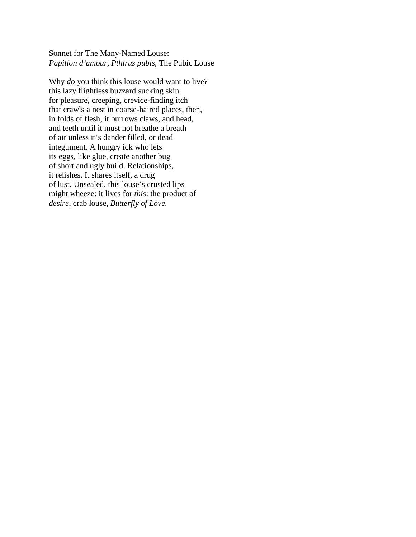Sonnet for The Many-Named Louse: *Papillon d'amour, Pthirus pubis,* The Pubic Louse

Why *do* you think this louse would want to live? this lazy flightless buzzard sucking skin for pleasure, creeping, crevice-finding itch that crawls a nest in coarse-haired places, then, in folds of flesh, it burrows claws, and head, and teeth until it must not breathe a breath of air unless it's dander filled, or dead integument. A hungry ick who lets its eggs, like glue, create another bug of short and ugly build. Relationships, it relishes. It shares itself, a drug of lust. Unsealed, this louse's crusted lips might wheeze: it lives for *this*: the product of *desire*, crab louse, *Butterfly of Love.*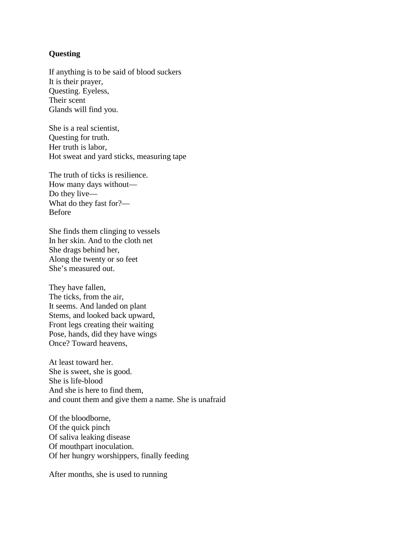# **Questing**

If anything is to be said of blood suckers It is their prayer, Questing. Eyeless, Their scent Glands will find you.

She is a real scientist, Questing for truth. Her truth is labor, Hot sweat and yard sticks, measuring tape

The truth of ticks is resilience. How many days without— Do they live— What do they fast for?— Before

She finds them clinging to vessels In her skin. And to the cloth net She drags behind her, Along the twenty or so feet She's measured out.

They have fallen, The ticks, from the air, It seems. And landed on plant Stems, and looked back upward, Front legs creating their waiting Pose, hands, did they have wings Once? Toward heavens,

At least toward her. She is sweet, she is good. She is life-blood And she is here to find them, and count them and give them a name. She is unafraid

Of the bloodborne, Of the quick pinch Of saliva leaking disease Of mouthpart inoculation. Of her hungry worshippers, finally feeding

After months, she is used to running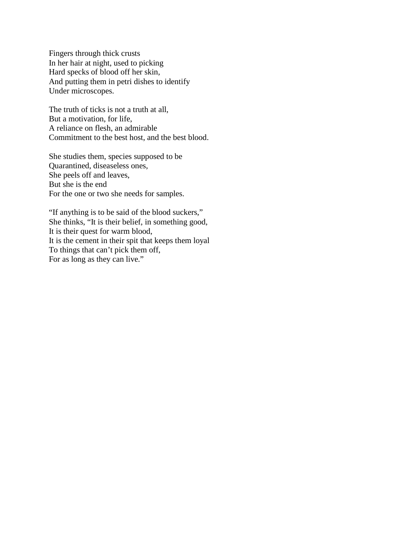Fingers through thick crusts In her hair at night, used to picking Hard specks of blood off her skin, And putting them in petri dishes to identify Under microscopes.

The truth of ticks is not a truth at all, But a motivation, for life, A reliance on flesh, an admirable Commitment to the best host, and the best blood.

She studies them, species supposed to be Quarantined, diseaseless ones, She peels off and leaves, But she is the end For the one or two she needs for samples.

"If anything is to be said of the blood suckers," She thinks, "It is their belief, in something good, It is their quest for warm blood, It is the cement in their spit that keeps them loyal To things that can't pick them off, For as long as they can live."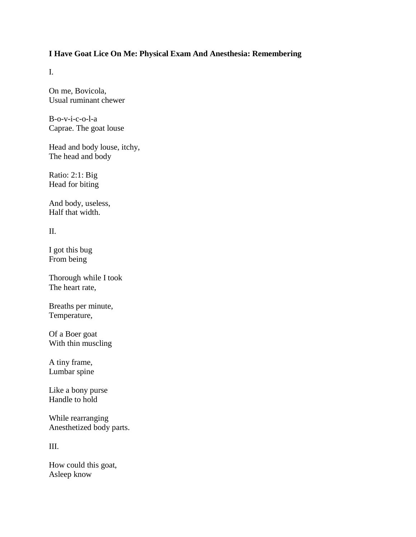# **I Have Goat Lice On Me: Physical Exam And Anesthesia: Remembering**

I.

On me, Bovicola, Usual ruminant chewer

B-o-v-i-c-o-l-a Caprae. The goat louse

Head and body louse, itchy, The head and body

Ratio: 2:1: Big Head for biting

And body, useless, Half that width.

II.

I got this bug From being

Thorough while I took The heart rate,

Breaths per minute, Temperature,

Of a Boer goat With thin muscling

A tiny frame, Lumbar spine

Like a bony purse Handle to hold

While rearranging Anesthetized body parts.

III.

How could this goat, Asleep know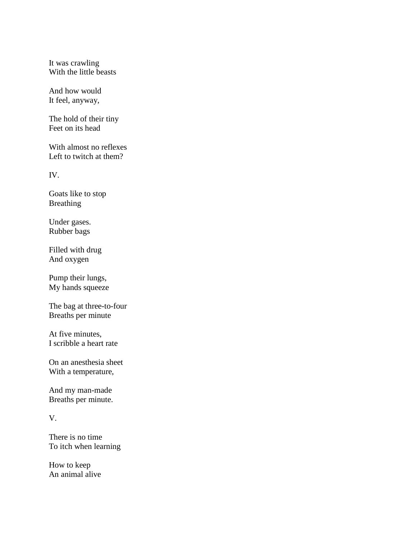It was crawling With the little beasts

And how would It feel, anyway,

The hold of their tiny Feet on its head

With almost no reflexes Left to twitch at them?

IV.

Goats like to stop Breathing

Under gases. Rubber bags

Filled with drug And oxygen

Pump their lungs, My hands squeeze

The bag at three-to-four Breaths per minute

At five minutes, I scribble a heart rate

On an anesthesia sheet With a temperature,

And my man-made Breaths per minute.

# V.

There is no time To itch when learning

How to keep An animal alive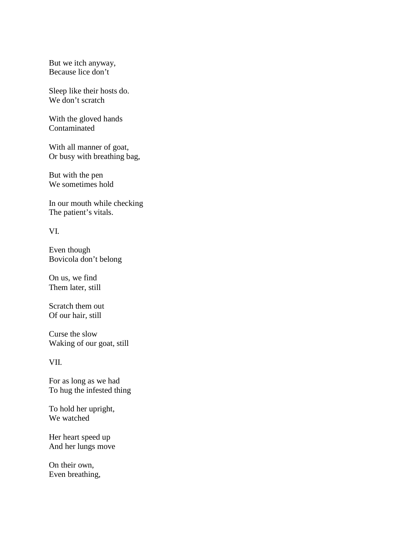But we itch anyway, Because lice don't

Sleep like their hosts do. We don't scratch

With the gloved hands Contaminated

With all manner of goat, Or busy with breathing bag,

But with the pen We sometimes hold

In our mouth while checking The patient's vitals.

VI.

Even though Bovicola don't belong

On us, we find Them later, still

Scratch them out Of our hair, still

Curse the slow Waking of our goat, still

VII.

For as long as we had To hug the infested thing

To hold her upright, We watched

Her heart speed up And her lungs move

On their own, Even breathing,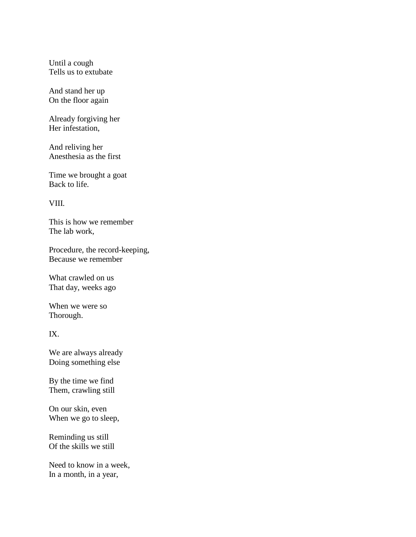Until a cough Tells us to extubate

And stand her up On the floor again

Already forgiving her Her infestation,

And reliving her Anesthesia as the first

Time we brought a goat Back to life.

VIII.

This is how we remember The lab work,

Procedure, the record-keeping, Because we remember

What crawled on us That day, weeks ago

When we were so Thorough.

IX.

We are always already Doing something else

By the time we find Them, crawling still

On our skin, even When we go to sleep,

Reminding us still Of the skills we still

Need to know in a week, In a month, in a year,